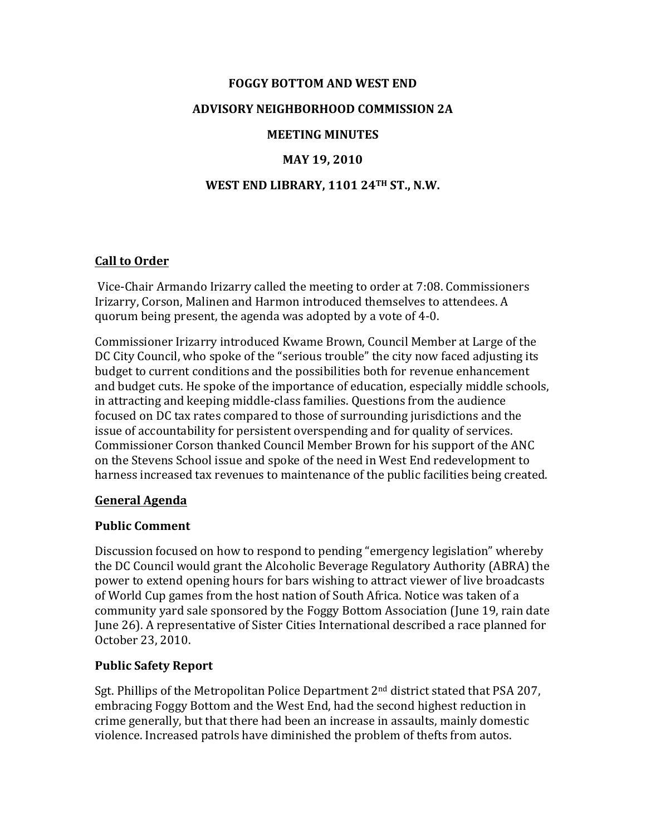# **FOGGY BOTTOM AND WEST END ADVISORY NEIGHBORHOOD COMMISSION 2A MEETING MINUTES**

# **MAY 19, 2010**

## **WEST END LIBRARY, 1101 24TH ST., N.W.**

### **Call to Order**

Vice-Chair Armando Irizarry called the meeting to order at 7:08. Commissioners Irizarry, Corson, Malinen and Harmon introduced themselves to attendees. A quorum being present, the agenda was adopted by a vote of 4-0.

Commissioner Irizarry introduced Kwame Brown, Council Member at Large of the DC City Council, who spoke of the "serious trouble" the city now faced adjusting its budget to current conditions and the possibilities both for revenue enhancement and budget cuts. He spoke of the importance of education, especially middle schools, in attracting and keeping middle-class families. Ouestions from the audience focused on DC tax rates compared to those of surrounding jurisdictions and the issue of accountability for persistent overspending and for quality of services. Commissioner Corson thanked Council Member Brown for his support of the ANC on the Stevens School issue and spoke of the need in West End redevelopment to harness increased tax revenues to maintenance of the public facilities being created.

#### **General Agenda**

#### **Public Comment**

Discussion focused on how to respond to pending "emergency legislation" whereby the DC Council would grant the Alcoholic Beverage Regulatory Authority (ABRA) the power to extend opening hours for bars wishing to attract viewer of live broadcasts of World Cup games from the host nation of South Africa. Notice was taken of a community yard sale sponsored by the Foggy Bottom Association (June 19, rain date June 26). A representative of Sister Cities International described a race planned for October 23, 2010. 

#### **Public Safety Report**

Sgt. Phillips of the Metropolitan Police Department  $2<sup>nd</sup>$  district stated that PSA 207, embracing Foggy Bottom and the West End, had the second highest reduction in crime generally, but that there had been an increase in assaults, mainly domestic violence. Increased patrols have diminished the problem of thefts from autos.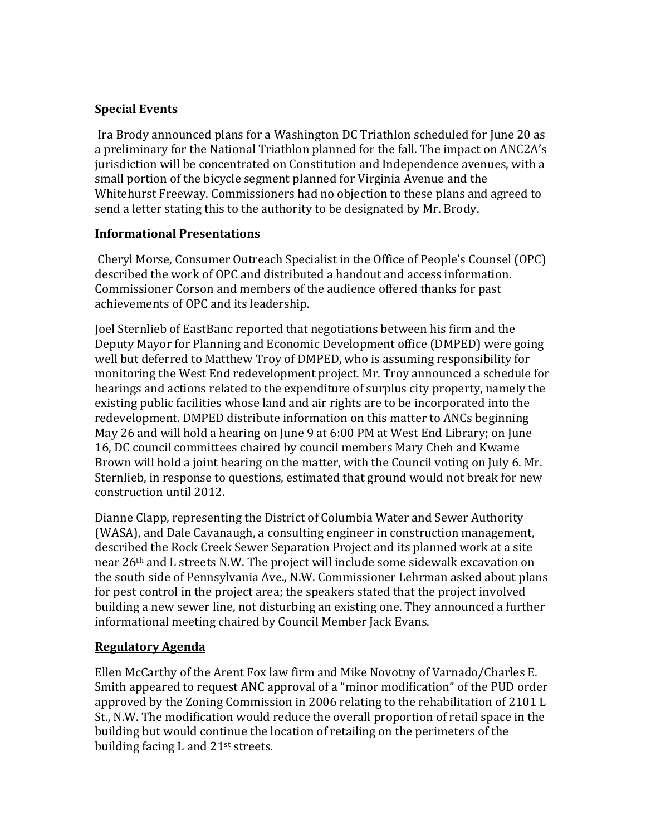## **Special Events**

Ira Brody announced plans for a Washington DC Triathlon scheduled for June 20 as a preliminary for the National Triathlon planned for the fall. The impact on ANC2A's jurisdiction will be concentrated on Constitution and Independence avenues, with a small portion of the bicycle segment planned for Virginia Avenue and the Whitehurst Freeway. Commissioners had no objection to these plans and agreed to send a letter stating this to the authority to be designated by Mr. Brody.

#### **Informational Presentations**

Cheryl Morse, Consumer Outreach Specialist in the Office of People's Counsel (OPC) described the work of OPC and distributed a handout and access information. Commissioner Corson and members of the audience offered thanks for past achievements of OPC and its leadership.

Joel Sternlieb of EastBanc reported that negotiations between his firm and the Deputy Mayor for Planning and Economic Development office (DMPED) were going well but deferred to Matthew Troy of DMPED, who is assuming responsibility for monitoring the West End redevelopment project. Mr. Troy announced a schedule for hearings and actions related to the expenditure of surplus city property, namely the existing public facilities whose land and air rights are to be incorporated into the redevelopment. DMPED distribute information on this matter to ANCs beginning May 26 and will hold a hearing on June 9 at 6:00 PM at West End Library; on June 16, DC council committees chaired by council members Mary Cheh and Kwame Brown will hold a joint hearing on the matter, with the Council voting on July 6. Mr. Sternlieb, in response to questions, estimated that ground would not break for new construction until 2012.

Dianne Clapp, representing the District of Columbia Water and Sewer Authority (WASA), and Dale Cavanaugh, a consulting engineer in construction management, described the Rock Creek Sewer Separation Project and its planned work at a site near 26<sup>th</sup> and L streets N.W. The project will include some sidewalk excavation on the south side of Pennsylvania Ave., N.W. Commissioner Lehrman asked about plans for pest control in the project area; the speakers stated that the project involved building a new sewer line, not disturbing an existing one. They announced a further informational meeting chaired by Council Member Jack Evans.

## **Regulatory Agenda**

Ellen McCarthy of the Arent Fox law firm and Mike Novotny of Varnado/Charles E. Smith appeared to request ANC approval of a "minor modification" of the PUD order approved by the Zoning Commission in 2006 relating to the rehabilitation of 2101 L St., N.W. The modification would reduce the overall proportion of retail space in the building but would continue the location of retailing on the perimeters of the building facing  $L$  and  $21$ <sup>st</sup> streets.